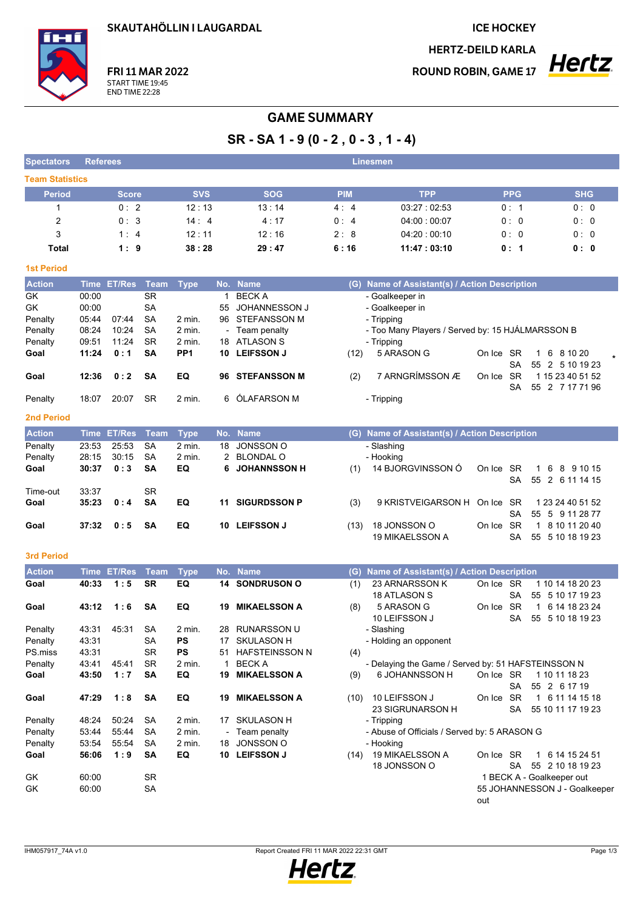SKAUTAHÖLLIN I LAUGARDAL

**ICE HOCKEY** 

**HERTZ-DEILD KARLA** 

**ROUND ROBIN, GAME 17** 



## **GAME SUMMARY**

 $SR - SA 1 - 9 (0 - 2, 0 - 3, 1 - 4)$ 

| <b>Spectators</b>      | <b>Referees</b> |               |             |                 |       |                       |             | <b>Linesmen</b>                                    |           |            |                                                   |  |  |
|------------------------|-----------------|---------------|-------------|-----------------|-------|-----------------------|-------------|----------------------------------------------------|-----------|------------|---------------------------------------------------|--|--|
| <b>Team Statistics</b> |                 |               |             |                 |       |                       |             |                                                    |           |            |                                                   |  |  |
| <b>Period</b>          |                 | <b>Score</b>  |             | <b>SVS</b>      |       | <b>SOG</b>            | <b>PIM</b>  | <b>TPP</b>                                         |           | <b>PPG</b> | <b>SHG</b>                                        |  |  |
| 1                      |                 | 0:2           |             | 12:13           |       | 13:14                 | 4:4         | 03:27:02:53                                        |           | 0: 1       | 0: 0                                              |  |  |
| $\overline{2}$         |                 | 0:3<br>14:4   |             |                 | 4:17  | 0:4                   | 04:00:00:07 |                                                    | 0:0       | 0:0        |                                                   |  |  |
| 3                      | 1:4             |               | 12:11       |                 | 12:16 | 2:8                   | 04:20:00:10 | 0:0                                                |           | 0:0        |                                                   |  |  |
| Total                  |                 | 1:9           |             | 38:28           |       | 29:47                 | 6:16        | 11:47:03:10                                        |           | 0: 1       | 0: 0                                              |  |  |
|                        |                 |               |             |                 |       |                       |             |                                                    |           |            |                                                   |  |  |
| <b>1st Period</b>      |                 |               |             |                 |       |                       |             |                                                    |           |            |                                                   |  |  |
| <b>Action</b>          |                 | Time ET/Res   | Team        | <b>Type</b>     |       | No. Name              |             | (G) Name of Assistant(s) / Action Description      |           |            |                                                   |  |  |
| GK                     | 00:00           |               | <b>SR</b>   |                 | 1     | <b>BECKA</b>          |             | - Goalkeeper in                                    |           |            |                                                   |  |  |
| GK                     | 00:00           |               | <b>SA</b>   |                 | 55    | JOHANNESSON J         |             | - Goalkeeper in                                    |           |            |                                                   |  |  |
| Penalty                | 05:44           | 07:44         | <b>SA</b>   | 2 min.          | 96    | <b>STEFANSSON M</b>   |             | - Tripping                                         |           |            |                                                   |  |  |
| Penalty                | 08:24           | 10:24         | SА          | 2 min.          |       | - Team penalty        |             | - Too Many Players / Served by: 15 HJÁLMARSSON B   |           |            |                                                   |  |  |
| Penalty                | 09:51           | 11:24         | <b>SR</b>   | 2 min.          | 18    | ATLASON S             |             | - Tripping                                         |           |            |                                                   |  |  |
| Goal                   | 11:24           | 0:1           | SΑ          | PP <sub>1</sub> |       | 10 LEIFSSON J         | (12)        | 5 ARASON G                                         | On Ice SR |            | 6 8 10 20<br>$\mathbf{1}$                         |  |  |
| Goal                   | 12:36           | 0:2           | SΑ          | EQ              |       | 96 STEFANSSON M       |             | 7 ARNGRÍMSSON Æ                                    | On Ice SR | <b>SA</b>  | 55 2 5 10 19 23<br>1 15 23 40 51 52               |  |  |
|                        |                 |               |             |                 |       |                       | (2)         |                                                    |           | SA         | 55 2 7 17 71 96                                   |  |  |
| Penalty                | 18:07           | 20:07         | <b>SR</b>   | 2 min.          | 6     | ÓLAFARSON M           |             | - Tripping                                         |           |            |                                                   |  |  |
|                        |                 |               |             |                 |       |                       |             |                                                    |           |            |                                                   |  |  |
| <b>2nd Period</b>      |                 |               |             |                 |       |                       |             |                                                    |           |            |                                                   |  |  |
| <b>Action</b>          |                 | Time ET/Res   | <b>Team</b> | <b>Type</b>     |       | No. Name              |             | (G) Name of Assistant(s) / Action Description      |           |            |                                                   |  |  |
| Penalty                | 23:53           | 25:53         | <b>SA</b>   | 2 min.          | 18    | JONSSON O             |             | - Slashing                                         |           |            |                                                   |  |  |
| Penalty                | 28:15           | 30:15         | <b>SA</b>   | 2 min.          | 2     | <b>BLONDAL O</b>      |             | - Hooking                                          |           |            |                                                   |  |  |
| Goal                   | 30:37           | 0:3           | <b>SA</b>   | EQ              | 6     | <b>JOHANNSSON H</b>   | (1)         | 14 BJORGVINSSON Ó                                  | On Ice SR | <b>SA</b>  | 6<br>8 9 10 15<br>$\mathbf{1}$<br>55 2 6 11 14 15 |  |  |
| Time-out               | 33:37           |               | <b>SR</b>   |                 |       |                       |             |                                                    |           |            |                                                   |  |  |
| Goal                   | 35:23           | 0:4           | <b>SA</b>   | EQ              | 11    | <b>SIGURDSSON P</b>   | (3)         | 9 KRISTVEIGARSON H                                 | On Ice SR |            | 1 23 24 40 51 52                                  |  |  |
|                        |                 |               |             |                 |       |                       |             |                                                    |           | <b>SA</b>  | 55 5 9 11 28 77                                   |  |  |
| Goal                   | 37:32           | 0:5           | SA          | EQ              |       | 10 LEIFSSON J         | (13)        | 18 JONSSON O                                       | On Ice SR |            | 1 8 10 11 20 40                                   |  |  |
|                        |                 |               |             |                 |       |                       |             | <b>19 MIKAELSSON A</b>                             |           | <b>SA</b>  | 55 5 10 18 19 23                                  |  |  |
| <b>3rd Period</b>      |                 |               |             |                 |       |                       |             |                                                    |           |            |                                                   |  |  |
| <b>Action</b>          | <b>Time</b>     | <b>ET/Res</b> | <b>Team</b> | <b>Type</b>     | No.   | <b>Name</b>           | (G)         | Name of Assistant(s) / Action Description          |           |            |                                                   |  |  |
| Goal                   | 40:33           | 1:5           | <b>SR</b>   | EQ              |       | <b>14 SONDRUSON O</b> | (1)         | 23 ARNARSSON K                                     | On Ice SR |            | 1 10 14 18 20 23                                  |  |  |
|                        |                 |               |             |                 |       |                       |             | <b>18 ATLASON S</b>                                |           | <b>SA</b>  | 55 5 10 17 19 23                                  |  |  |
| Goal                   | 43:12           | 1:6           | SA          | EQ              | 19    | <b>MIKAELSSON A</b>   | (8)         | 5 ARASON G                                         | On Ice SR |            | 6 14 18 23 24<br>$\mathbf{1}$                     |  |  |
|                        |                 |               |             |                 |       |                       |             | 10 LEIFSSON J                                      |           | <b>SA</b>  | 55 5 10 18 19 23                                  |  |  |
| Penalty                | 43:31           | 45:31         | SA          | 2 min.          | 28    | <b>RUNARSSON U</b>    |             | - Slashing                                         |           |            |                                                   |  |  |
| Penalty                | 43:31           |               | SA          | PS              | 17    | SKULASON H            |             | - Holding an opponent                              |           |            |                                                   |  |  |
| PS miss                | 43:31           |               | SR          | <b>PS</b>       |       | 51 HAFSTEINSSON N     | (4)         |                                                    |           |            |                                                   |  |  |
| Penalty                | 43.41           | 45:41         | <b>SR</b>   | 2 min.          | 1     | <b>BECK A</b>         |             | - Delaying the Game / Served by: 51 HAFSTEINSSON N |           |            |                                                   |  |  |
| Goal                   | 43:50           | 1:7           | SA          | EQ              | 19    | <b>MIKAELSSON A</b>   | (9)         | 6 JOHANNSSON H                                     | On Ice SR |            | 1 10 11 18 23                                     |  |  |
|                        |                 |               |             |                 |       |                       |             |                                                    |           | <b>SA</b>  | 55 2 6 17 19                                      |  |  |
| Goal                   | 47:29           | 1:8           | <b>SA</b>   | EQ              | 19    | <b>MIKAELSSON A</b>   | (10)        | 10 LEIFSSON J                                      | On Ice SR | SA         | 1 6 11 14 15 18<br>55 10 11 17 19 23              |  |  |
| Penalty                | 48:24           | 50:24         | SA          | 2 min.          |       | 17 SKULASON H         |             | 23 SIGRUNARSON H<br>- Tripping                     |           |            |                                                   |  |  |
| Penalty                | 53:44           | 55:44         | SA          | 2 min.          |       | Team penalty          |             | - Abuse of Officials / Served by: 5 ARASON G       |           |            |                                                   |  |  |
| Penalty                | 53:54           | 55:54         | SA          | 2 min.          | 18    | JONSSON O             |             | - Hooking                                          |           |            |                                                   |  |  |
| Goal                   | 56:06           | 1:9           | SA          | EQ              |       | 10 LEIFSSON J         |             | (14) 19 MIKAELSSON A                               | On Ice SR |            | 1 6 14 15 24 51                                   |  |  |
|                        |                 |               |             |                 |       |                       |             | 18 JONSSON O                                       |           | SA         | 55 2 10 18 19 23                                  |  |  |
| GK                     | 60:00           |               | <b>SR</b>   |                 |       |                       |             |                                                    |           |            | 1 BECK A - Goalkeeper out                         |  |  |
| GK                     | 60:00           |               | SA          |                 |       |                       |             |                                                    |           |            | 55 JOHANNESSON J - Goalkeeper                     |  |  |
|                        |                 |               |             |                 |       |                       |             |                                                    | out       |            |                                                   |  |  |

Report Created FRI 11 MAR 2022 22:31 GMT

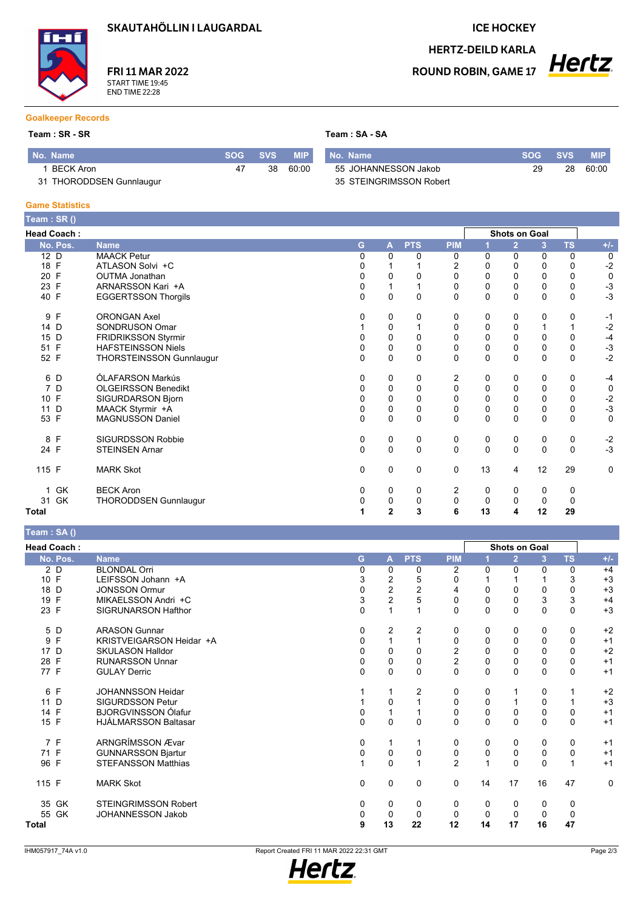SKAUTAHÖLLIN I LAUGARDAL

**FRI 11 MAR 2022** START TIME 19:45<br>END TIME 22:28

#### **ICE HOCKEY**

**HERTZ-DEILD KARLA ROUND ROBIN, GAME 17** 

# **Hertz**

#### **Goalkeeper Records**

#### $Team : SR - SR$

Team: SA - SA

| No. Name                 | <b>SOG</b> | <b>SVS</b> | <b>MIP</b> | No. Name                | <b>SOG</b> | <b>SVS</b> | MIP.  |
|--------------------------|------------|------------|------------|-------------------------|------------|------------|-------|
| BECK Aron                |            | 38         | 60:00      | 55 JOHANNESSON Jakob    | 29         | 28         | 60:00 |
| 31 THORODDSEN Gunnlaugur |            |            |            | 35 STEINGRIMSSON Robert |            |            |       |

#### **Game Statistics**

| Team: SR ()        |                            |              |                |             |             |    |                      |              |           |              |
|--------------------|----------------------------|--------------|----------------|-------------|-------------|----|----------------------|--------------|-----------|--------------|
| <b>Head Coach:</b> |                            |              |                |             |             |    | <b>Shots on Goal</b> |              |           |              |
| No. Pos.           | <b>Name</b>                | G            | A              | <b>PTS</b>  | <b>PIM</b>  |    | $\overline{2}$       | 3            | <b>TS</b> | $+/-$        |
| 12 D               | <b>MAACK Petur</b>         | $\Omega$     | 0              | 0           | 0           | 0  | 0                    | 0            | 0         | 0            |
| 18 F               | ATLASON Solvi +C           | 0            |                |             | 2           | 0  | 0                    | 0            | 0         | $-2$         |
| 20 F               | <b>OUTMA Jonathan</b>      | 0            | 0              | 0           | 0           | 0  | 0                    | 0            | 0         | $\mathbf 0$  |
| 23 F               | ARNARSSON Kari +A          | 0            | 1              |             | 0           | 0  | $\mathbf 0$          | 0            | 0         | $-3$         |
| 40 F               | <b>EGGERTSSON Thorgils</b> | $\mathbf 0$  | $\mathbf 0$    | $\mathbf 0$ | $\mathbf 0$ | 0  | $\mathbf 0$          | $\mathbf{0}$ | 0         | $-3$         |
| 9 F                | <b>ORONGAN Axel</b>        | 0            | 0              | 0           | 0           | 0  | 0                    | 0            | 0         | $-1$         |
| 14 D               | SONDRUSON Omar             |              | 0              |             | $\mathbf 0$ | 0  | $\mathbf 0$          |              |           | $-2$         |
| 15 D               | FRIDRIKSSON Styrmir        |              | $\mathbf 0$    | $\mathbf 0$ | $\mathbf 0$ | 0  | $\mathbf 0$          | 0            | 0         | $-4$         |
| 51 F               | <b>HAFSTEINSSON Niels</b>  | 0            | 0              | 0           | 0           | 0  | 0                    | 0            | 0         | $-3$<br>$-2$ |
| 52 F               | THORSTEINSSON Gunnlaugur   | $\Omega$     | $\pmb{0}$      | $\pmb{0}$   | $\pmb{0}$   | 0  | $\mathbf 0$          | $\mathbf{0}$ | 0         |              |
| 6 D                | ÓLAFARSON Markús           | 0            | 0              | 0           | 2           | 0  | 0                    | 0            | 0         | $-4$         |
| 7 D                | <b>OLGEIRSSON Benedikt</b> | 0            | 0              | $\mathbf 0$ | 0           | 0  | 0                    | 0            | 0         | $\mathbf 0$  |
| 10 F               | SIGURDARSON Bjorn          | 0            | 0              | 0           | 0           | 0  | $\mathbf 0$          | 0            | 0         | $-2$         |
| 11 D               | MAACK Styrmir +A           | 0            | $\pmb{0}$      | $\mathbf 0$ | $\pmb{0}$   | 0  | $\mathbf 0$          | 0            | 0         | $-3$         |
| 53 F               | <b>MAGNUSSON Daniel</b>    | 0            | 0              | $\mathbf 0$ | 0           | 0  | 0                    | $\mathbf{0}$ | 0         | $\mathbf 0$  |
| 8 F                | <b>SIGURDSSON Robbie</b>   | 0            | 0              | 0           | 0           | 0  | 0                    | 0            | 0         | $-2$         |
| 24 F               | <b>STEINSEN Arnar</b>      | $\mathbf{0}$ | $\mathbf 0$    | $\mathbf 0$ | $\pmb{0}$   | 0  | $\mathbf 0$          | $\mathbf{0}$ | $\Omega$  | $-3$         |
| 115 F              | <b>MARK Skot</b>           | 0            | 0              | 0           | 0           | 13 | 4                    | 12           | 29        | 0            |
| 1 GK               | <b>BECK Aron</b>           | 0            | 0              | 0           | 2           | 0  | 0                    | 0            | 0         |              |
| 31 GK              | THORODDSEN Gunnlaugur      | 0            | 0              | 0           | 0           | 0  | 0                    | $\mathbf 0$  | 0         |              |
| Total              |                            | 1            | $\overline{2}$ | 3           | 6           | 13 | 4                    | 12           | 29        |              |

Team : SA ()

| <b>Head Coach:</b> |                             |                |                |                         |                |             | Shots on Goal  |              |           |       |
|--------------------|-----------------------------|----------------|----------------|-------------------------|----------------|-------------|----------------|--------------|-----------|-------|
| No. Pos.           | <b>Name</b>                 | G              | A              | <b>PTS</b>              | <b>PIM</b>     |             | $\overline{2}$ | 3            | <b>TS</b> | $+/-$ |
| 2 D                | <b>BLONDAL Orri</b>         | $\Omega$       | 0              | 0                       | 2              | $\Omega$    | $\Omega$       | 0            | 0         | $+4$  |
| 10 F               | LEIFSSON Johann +A          | 3              | 2              | 5                       | 0              |             |                |              | 3         | $+3$  |
| 18 D               | <b>JONSSON Ormur</b>        | 0              | $\overline{c}$ | $\overline{\mathbf{c}}$ | 4              | 0           | 0              | 0            | $\Omega$  | $+3$  |
| 19 F               | MIKAELSSON Andri +C         | 3              | $\overline{2}$ | 5                       | $\mathbf 0$    | $\mathbf 0$ | 0              | 3            | 3         | $+4$  |
| 23 F               | SIGRUNARSON Hafthor         | $\mathbf 0$    |                |                         | $\mathbf 0$    | 0           | $\Omega$       | $\Omega$     | 0         | $+3$  |
| 5 D                | <b>ARASON Gunnar</b>        | 0              | 2              | 2                       | 0              | 0           | 0              | $\mathbf{0}$ | 0         | $+2$  |
| $\mathsf{F}$<br>9  | KRISTVEIGARSON Heidar +A    | $\Omega$       | 1              |                         | $\mathbf 0$    | $\mathbf 0$ | 0              | 0            | $\Omega$  | $+1$  |
| 17 D               | <b>SKULASON Halldor</b>     | 0              | 0              | 0                       | $\mathbf{2}$   | $\mathbf 0$ | 0              | 0            | $\Omega$  | $+2$  |
| 28 F               | <b>RUNARSSON Unnar</b>      | $\mathbf{0}$   | 0              | 0                       | $\mathbf{2}$   | $\pmb{0}$   | 0              | $\Omega$     | $\Omega$  | $+1$  |
| 77 F               | <b>GULAY Derric</b>         | $\mathbf 0$    | 0              | 0                       | $\mathbf 0$    | 0           | $\mathbf 0$    | $\Omega$     | $\Omega$  | $+1$  |
| 6 F                | JOHANNSSON Heidar           |                | 1              | 2                       | 0              | 0           |                | 0            |           | $+2$  |
| 11 D               | <b>SIGURDSSON Petur</b>     |                | 0              |                         | $\mathbf 0$    | $\mathbf 0$ |                | 0            |           | $+3$  |
| 14 F               | <b>BJORGVINSSON Ólafur</b>  | 0              | 1              |                         | $\mathbf 0$    | $\mathbf 0$ | 0              | 0            | 0         | $+1$  |
| 15 F               | <b>HJÁLMARSSON Baltasar</b> | $\mathbf 0$    | 0              | 0                       | $\mathbf 0$    | 0           | $\Omega$       | $\Omega$     | $\Omega$  | $+1$  |
| 7 F                | ARNGRÍMSSON Ævar            | 0              |                |                         | 0              | 0           | 0              | 0            | 0         | $+1$  |
| 71 F               | <b>GUNNARSSON Bjartur</b>   | 0              | 0              | 0                       | 0              | 0           | 0              | 0            | $\Omega$  | $+1$  |
| 96 F               | <b>STEFANSSON Matthias</b>  | $\overline{ }$ | $\mathbf{0}$   | 1                       | $\overline{2}$ | 1           | $\Omega$       | $\Omega$     |           | $+1$  |
| 115 F              | <b>MARK Skot</b>            | 0              | 0              | 0                       | 0              | 14          | 17             | 16           | 47        | 0     |
| 35 GK              | <b>STEINGRIMSSON Robert</b> | 0              | 0              | 0                       | 0              | 0           | 0              | 0            | 0         |       |
| 55 GK              | JOHANNESSON Jakob           | 0              | $\mathbf 0$    | 0                       | 0              | $\mathbf 0$ | $\mathbf 0$    | 0            | 0         |       |
| Total              |                             | 9              | 13             | 22                      | 12             | 14          | 17             | 16           | 47        |       |

IHM057917\_74A v1.0